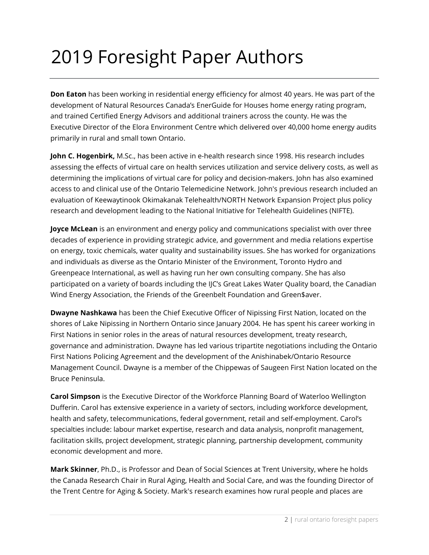## 2019 Foresight Paper Authors

**Don Eaton** has been working in residential energy efficiency for almost 40 years. He was part of the development of Natural Resources Canada's EnerGuide for Houses home energy rating program, and trained Certified Energy Advisors and additional trainers across the county. He was the Executive Director of the Elora Environment Centre which delivered over 40,000 home energy audits primarily in rural and small town Ontario.

**John C. Hogenbirk,** M.Sc., has been active in e-health research since 1998. His research includes assessing the effects of virtual care on health services utilization and service delivery costs, as well as determining the implications of virtual care for policy and decision-makers. John has also examined access to and clinical use of the Ontario Telemedicine Network. John's previous research included an evaluation of Keewaytinook Okimakanak Telehealth/NORTH Network Expansion Project plus policy research and development leading to the National Initiative for Telehealth Guidelines (NIFTE).

**Joyce McLean** is an environment and energy policy and communications specialist with over three decades of experience in providing strategic advice, and government and media relations expertise on energy, toxic chemicals, water quality and sustainability issues. She has worked for organizations and individuals as diverse as the Ontario Minister of the Environment, Toronto Hydro and Greenpeace International, as well as having run her own consulting company. She has also participated on a variety of boards including the IJC's Great Lakes Water Quality board, the Canadian Wind Energy Association, the Friends of the Greenbelt Foundation and Green\$aver.

**Dwayne Nashkawa** has been the Chief Executive Officer of Nipissing First Nation, located on the shores of Lake Nipissing in Northern Ontario since January 2004. He has spent his career working in First Nations in senior roles in the areas of natural resources development, treaty research, governance and administration. Dwayne has led various tripartite negotiations including the Ontario First Nations Policing Agreement and the development of the Anishinabek/Ontario Resource Management Council. Dwayne is a member of the Chippewas of Saugeen First Nation located on the Bruce Peninsula.

**Carol Simpson** is the Executive Director of the Workforce Planning Board of Waterloo Wellington Dufferin. Carol has extensive experience in a variety of sectors, including workforce development, health and safety, telecommunications, federal government, retail and self-employment. Carol's specialties include: labour market expertise, research and data analysis, nonprofit management, facilitation skills, project development, strategic planning, partnership development, community economic development and more.

**Mark Skinner**, Ph.D., is Professor and Dean of Social Sciences at Trent University, where he holds the Canada Research Chair in Rural Aging, Health and Social Care, and was the founding Director of the Trent Centre for Aging & Society. Mark's research examines how rural people and places are